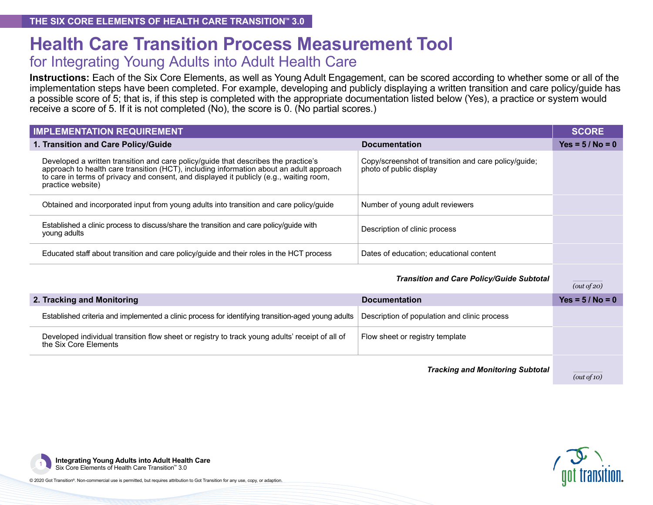# **Health Care Transition Process Measurement Tool**

#### for Integrating Young Adults into Adult Health Care

**Instructions:** Each of the Six Core Elements, as well as Young Adult Engagement, can be scored according to whether some or all of the implementation steps have been completed. For example, developing and publicly displaying a written transition and care policy/guide has a possible score of 5; that is, if this step is completed with the appropriate documentation listed below (Yes), a practice or system would receive a score of 5. If it is not completed (No), the score is 0. (No partial scores.)

| <b>IMPLEMENTATION REQUIREMENT</b>                                                                                                                                                                                                                                                             |                                                                                 |                    |  |  |
|-----------------------------------------------------------------------------------------------------------------------------------------------------------------------------------------------------------------------------------------------------------------------------------------------|---------------------------------------------------------------------------------|--------------------|--|--|
| 1. Transition and Care Policy/Guide                                                                                                                                                                                                                                                           | <b>Documentation</b>                                                            | Yes = $5/No = 0$   |  |  |
| Developed a written transition and care policy/guide that describes the practice's<br>approach to health care transition (HCT), including information about an adult approach<br>to care in terms of privacy and consent, and displayed it publicly (e.g., waiting room,<br>practice website) | Copy/screenshot of transition and care policy/guide;<br>photo of public display |                    |  |  |
| Obtained and incorporated input from young adults into transition and care policy/guide                                                                                                                                                                                                       | Number of young adult reviewers                                                 |                    |  |  |
| Established a clinic process to discuss/share the transition and care policy/guide with<br>young adults                                                                                                                                                                                       | Description of clinic process                                                   |                    |  |  |
| Educated staff about transition and care policy/guide and their roles in the HCT process                                                                                                                                                                                                      | Dates of education; educational content                                         |                    |  |  |
|                                                                                                                                                                                                                                                                                               | <b>Transition and Care Policy/Guide Subtotal</b>                                | (out of 20)        |  |  |
| 2. Tracking and Monitoring                                                                                                                                                                                                                                                                    | <b>Documentation</b>                                                            | $Yes = 5 / No = 0$ |  |  |
| Established criteria and implemented a clinic process for identifying transition-aged young adults                                                                                                                                                                                            | Description of population and clinic process                                    |                    |  |  |
| Developed individual transition flow sheet or registry to track young adults' receipt of all of<br>the Six Core Elements                                                                                                                                                                      | Flow sheet or registry template                                                 |                    |  |  |
|                                                                                                                                                                                                                                                                                               | <b>Tracking and Monitoring Subtotal</b>                                         |                    |  |  |

*(out of 10)*

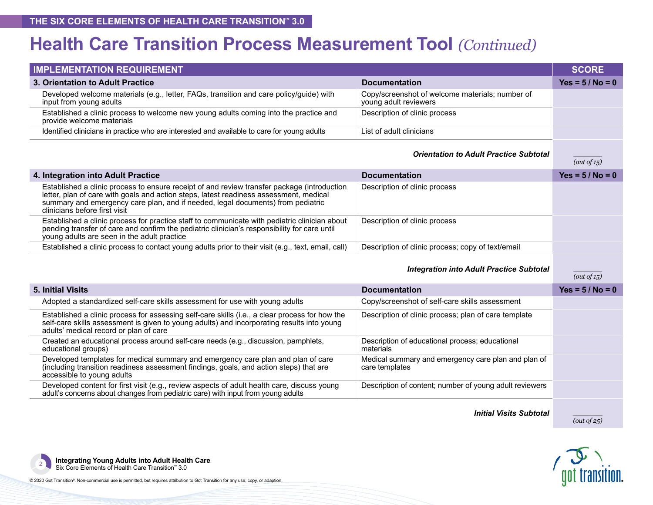## **Health Care Transition Process Measurement Tool** *(Continued)*

| <b>IMPLEMENTATION REQUIREMENT</b>                                                                                                                                                                                                                                                                         |                                                                          | <b>SCORE</b>       |
|-----------------------------------------------------------------------------------------------------------------------------------------------------------------------------------------------------------------------------------------------------------------------------------------------------------|--------------------------------------------------------------------------|--------------------|
| 3. Orientation to Adult Practice                                                                                                                                                                                                                                                                          | <b>Documentation</b>                                                     | $Yes = 5 / No = 0$ |
| Developed welcome materials (e.g., letter, FAQs, transition and care policy/guide) with<br>input from young adults                                                                                                                                                                                        | Copy/screenshot of welcome materials; number of<br>young adult reviewers |                    |
| Established a clinic process to welcome new young adults coming into the practice and<br>provide welcome materials                                                                                                                                                                                        | Description of clinic process                                            |                    |
| Identified clinicians in practice who are interested and available to care for young adults                                                                                                                                                                                                               | List of adult clinicians                                                 |                    |
|                                                                                                                                                                                                                                                                                                           | <b>Orientation to Adult Practice Subtotal</b>                            | (out of 15)        |
| 4. Integration into Adult Practice                                                                                                                                                                                                                                                                        | <b>Documentation</b>                                                     | $Yes = 5 / No = 0$ |
| Established a clinic process to ensure receipt of and review transfer package (introduction<br>letter, plan of care with goals and action steps, latest readiness assessment, medical<br>summary and emergency care plan, and if needed, legal documents) from pediatric<br>clinicians before first visit | Description of clinic process                                            |                    |
| Established a clinic process for practice staff to communicate with pediatric clinician about<br>pending transfer of care and confirm the pediatric clinician's responsibility for care until<br>young adults are seen in the adult practice                                                              | Description of clinic process                                            |                    |
| Established a clinic process to contact young adults prior to their visit (e.g., text, email, call)                                                                                                                                                                                                       | Description of clinic process; copy of text/email                        |                    |
|                                                                                                                                                                                                                                                                                                           | <b>Integration into Adult Practice Subtotal</b>                          | (out of 15)        |
| <b>5. Initial Visits</b>                                                                                                                                                                                                                                                                                  | <b>Documentation</b>                                                     | $Yes = 5 / No = 0$ |
| Adopted a standardized self-care skills assessment for use with young adults                                                                                                                                                                                                                              | Copy/screenshot of self-care skills assessment                           |                    |
| Established a clinic process for assessing self-care skills (i.e., a clear process for how the<br>self-care skills assessment is given to young adults) and incorporating results into young<br>adults' medical record or plan of care                                                                    | Description of clinic process; plan of care template                     |                    |
| Created an educational process around self-care needs (e.g., discussion, pamphlets,<br>educational groups)                                                                                                                                                                                                | Description of educational process; educational<br>materials             |                    |
| Developed templates for medical summary and emergency care plan and plan of care<br>(including transition readiness assessment findings, goals, and action steps) that are<br>accessible to young adults                                                                                                  | Medical summary and emergency care plan and plan of<br>care templates    |                    |
| Developed content for first visit (e.g., review aspects of adult health care, discuss young<br>adult's concerns about changes from pediatric care) with input from young adults                                                                                                                           | Description of content; number of young adult reviewers                  |                    |
|                                                                                                                                                                                                                                                                                                           |                                                                          |                    |

*Initial Visits Subtotal*



*(out of 25)*

**Integrating Young Adults into Adult Health Care**  Six Core Elements of Health Care Transition™ 3.0 <sup>2</sup>

© 2020 Got Transition®. Non-commercial use is permitted, but requires attribution to Got Transition for any use, copy, or adaption.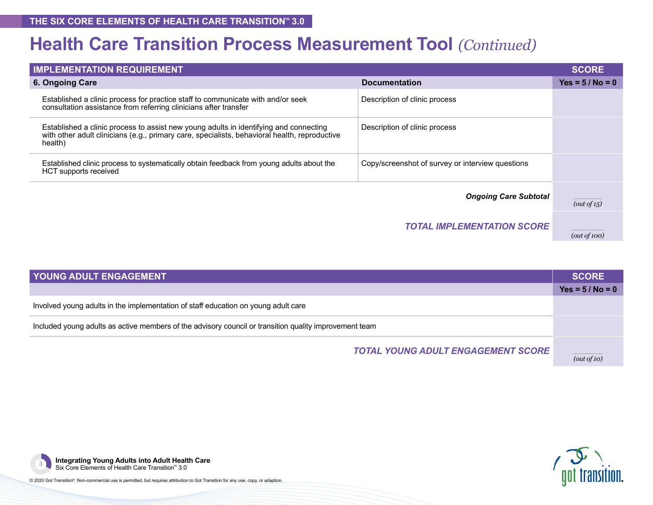### **Health Care Transition Process Measurement Tool** *(Continued)*

| <b>IMPLEMENTATION REQUIREMENT</b>                                                                                                                                                                 |                                                  |                    |  |  |
|---------------------------------------------------------------------------------------------------------------------------------------------------------------------------------------------------|--------------------------------------------------|--------------------|--|--|
| 6. Ongoing Care                                                                                                                                                                                   | <b>Documentation</b>                             | $Yes = 5 / No = 0$ |  |  |
| Established a clinic process for practice staff to communicate with and/or seek<br>consultation assistance from referring clinicians after transfer                                               | Description of clinic process                    |                    |  |  |
| Established a clinic process to assist new young adults in identifying and connecting<br>with other adult clinicians (e.g., primary care, specialists, behavioral health, reproductive<br>health) | Description of clinic process                    |                    |  |  |
| Established clinic process to systematically obtain feedback from young adults about the<br>HCT supports received                                                                                 | Copy/screenshot of survey or interview questions |                    |  |  |
|                                                                                                                                                                                                   |                                                  |                    |  |  |
| <b>Ongoing Care Subtotal</b>                                                                                                                                                                      |                                                  |                    |  |  |
|                                                                                                                                                                                                   | <b>TOTAL IMPLEMENTATION SCORE</b>                | (out of 100)       |  |  |

| <b>YOUNG ADULT ENGAGEMENT</b>                                                                          |                    |  |
|--------------------------------------------------------------------------------------------------------|--------------------|--|
|                                                                                                        | $Yes = 5 / No = 0$ |  |
| Involved young adults in the implementation of staff education on young adult care                     |                    |  |
| Included young adults as active members of the advisory council or transition quality improvement team |                    |  |
| <b>TOTAL YOUNG ADULT ENGAGEMENT SCORE</b>                                                              | (out of 10)        |  |



**Integrating Young Adults into Adult Health Care**<br>Six Core Elements of Health Care Transition™ 3.0

© 2020 Got Transition®. Non-commercial use is permitted, but requires attribution to Got Transition for any use, copy, or adaption.